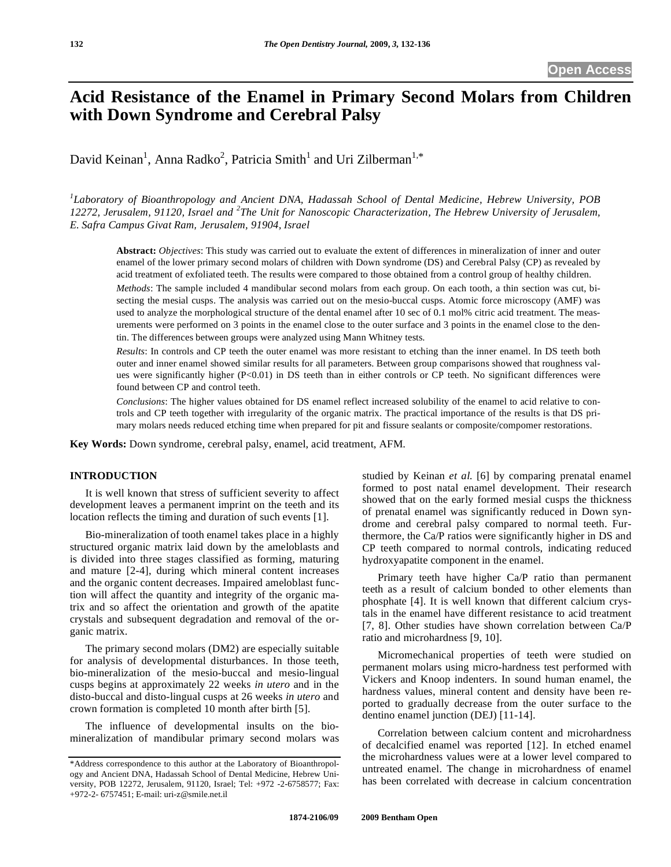# **Acid Resistance of the Enamel in Primary Second Molars from Children with Down Syndrome and Cerebral Palsy**

David Keinan<sup>1</sup>, Anna Radko<sup>2</sup>, Patricia Smith<sup>1</sup> and Uri Zilberman<sup>1,\*</sup>

*1 Laboratory of Bioanthropology and Ancient DNA, Hadassah School of Dental Medicine, Hebrew University, POB*  12272, Jerusalem, 91120, Israel and <sup>2</sup>The Unit for Nanoscopic Characterization, The Hebrew University of Jerusalem, *E. Safra Campus Givat Ram, Jerusalem, 91904, Israel*

**Abstract:** *Objectives*: This study was carried out to evaluate the extent of differences in mineralization of inner and outer enamel of the lower primary second molars of children with Down syndrome (DS) and Cerebral Palsy (CP) as revealed by acid treatment of exfoliated teeth. The results were compared to those obtained from a control group of healthy children.

*Methods*: The sample included 4 mandibular second molars from each group. On each tooth, a thin section was cut, bisecting the mesial cusps. The analysis was carried out on the mesio-buccal cusps. Atomic force microscopy (AMF) was used to analyze the morphological structure of the dental enamel after 10 sec of 0.1 mol% citric acid treatment. The measurements were performed on 3 points in the enamel close to the outer surface and 3 points in the enamel close to the dentin. The differences between groups were analyzed using Mann Whitney tests.

*Results*: In controls and CP teeth the outer enamel was more resistant to etching than the inner enamel. In DS teeth both outer and inner enamel showed similar results for all parameters. Between group comparisons showed that roughness values were significantly higher (P<0.01) in DS teeth than in either controls or CP teeth. No significant differences were found between CP and control teeth.

*Conclusions*: The higher values obtained for DS enamel reflect increased solubility of the enamel to acid relative to controls and CP teeth together with irregularity of the organic matrix. The practical importance of the results is that DS primary molars needs reduced etching time when prepared for pit and fissure sealants or composite/compomer restorations.

**Key Words:** Down syndrome, cerebral palsy, enamel, acid treatment, AFM.

# **INTRODUCTION**

 It is well known that stress of sufficient severity to affect development leaves a permanent imprint on the teeth and its location reflects the timing and duration of such events [1].

 Bio-mineralization of tooth enamel takes place in a highly structured organic matrix laid down by the ameloblasts and is divided into three stages classified as forming, maturing and mature [2-4], during which mineral content increases and the organic content decreases. Impaired ameloblast function will affect the quantity and integrity of the organic matrix and so affect the orientation and growth of the apatite crystals and subsequent degradation and removal of the organic matrix.

 The primary second molars (DM2) are especially suitable for analysis of developmental disturbances. In those teeth, bio-mineralization of the mesio-buccal and mesio-lingual cusps begins at approximately 22 weeks *in utero* and in the disto-buccal and disto-lingual cusps at 26 weeks *in utero* and crown formation is completed 10 month after birth [5].

 The influence of developmental insults on the biomineralization of mandibular primary second molars was studied by Keinan *et al.* [6] by comparing prenatal enamel formed to post natal enamel development. Their research showed that on the early formed mesial cusps the thickness of prenatal enamel was significantly reduced in Down syndrome and cerebral palsy compared to normal teeth. Furthermore, the Ca/P ratios were significantly higher in DS and CP teeth compared to normal controls, indicating reduced hydroxyapatite component in the enamel.

 Primary teeth have higher Ca/P ratio than permanent teeth as a result of calcium bonded to other elements than phosphate [4]. It is well known that different calcium crystals in the enamel have different resistance to acid treatment [7, 8]. Other studies have shown correlation between Ca/P ratio and microhardness [9, 10].

 Micromechanical properties of teeth were studied on permanent molars using micro-hardness test performed with Vickers and Knoop indenters. In sound human enamel, the hardness values, mineral content and density have been reported to gradually decrease from the outer surface to the dentino enamel junction (DEJ) [11-14].

 Correlation between calcium content and microhardness of decalcified enamel was reported [12]. In etched enamel the microhardness values were at a lower level compared to untreated enamel. The change in microhardness of enamel has been correlated with decrease in calcium concentration

<sup>\*</sup>Address correspondence to this author at the Laboratory of Bioanthropology and Ancient DNA, Hadassah School of Dental Medicine, Hebrew University, POB 12272, Jerusalem, 91120, Israel; Tel: +972 -2-6758577; Fax: +972-2- 6757451; E-mail: uri-z@smile.net.il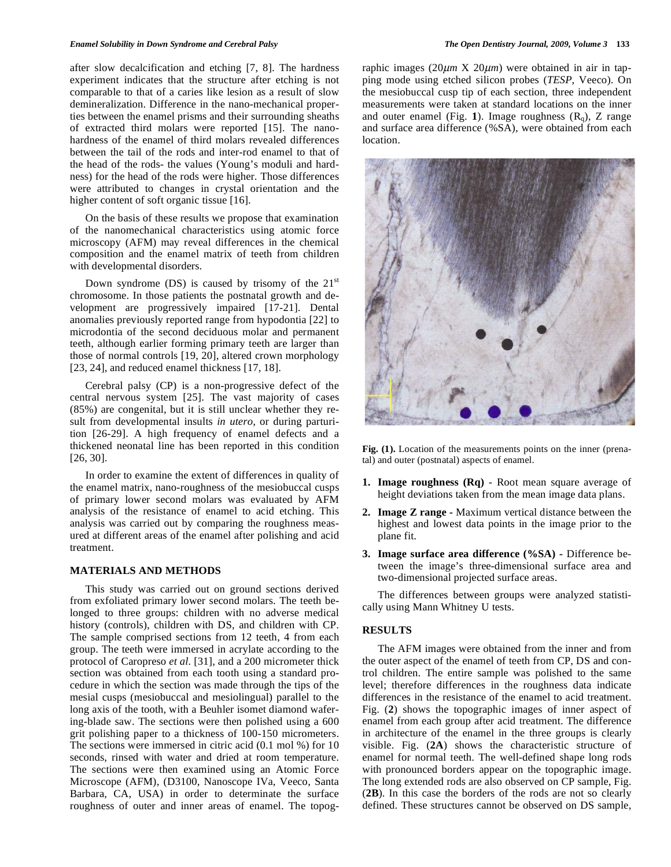after slow decalcification and etching [7, 8]. The hardness experiment indicates that the structure after etching is not comparable to that of a caries like lesion as a result of slow demineralization. Difference in the nano-mechanical properties between the enamel prisms and their surrounding sheaths of extracted third molars were reported [15]. The nanohardness of the enamel of third molars revealed differences between the tail of the rods and inter-rod enamel to that of the head of the rods- the values (Young's moduli and hardness) for the head of the rods were higher. Those differences were attributed to changes in crystal orientation and the higher content of soft organic tissue [16].

 On the basis of these results we propose that examination of the nanomechanical characteristics using atomic force microscopy (AFM) may reveal differences in the chemical composition and the enamel matrix of teeth from children with developmental disorders.

Down syndrome (DS) is caused by trisomy of the  $21<sup>st</sup>$ chromosome. In those patients the postnatal growth and development are progressively impaired [17-21]. Dental anomalies previously reported range from hypodontia [22] to microdontia of the second deciduous molar and permanent teeth, although earlier forming primary teeth are larger than those of normal controls [19, 20], altered crown morphology [23, 24], and reduced enamel thickness [17, 18].

 Cerebral palsy (CP) is a non-progressive defect of the central nervous system [25]. The vast majority of cases (85%) are congenital, but it is still unclear whether they result from developmental insults *in utero*, or during parturition [26-29]. A high frequency of enamel defects and a thickened neonatal line has been reported in this condition [26, 30].

 In order to examine the extent of differences in quality of the enamel matrix, nano-roughness of the mesiobuccal cusps of primary lower second molars was evaluated by AFM analysis of the resistance of enamel to acid etching. This analysis was carried out by comparing the roughness measured at different areas of the enamel after polishing and acid treatment.

## **MATERIALS AND METHODS**

 This study was carried out on ground sections derived from exfoliated primary lower second molars. The teeth belonged to three groups: children with no adverse medical history (controls), children with DS, and children with CP. The sample comprised sections from 12 teeth, 4 from each group. The teeth were immersed in acrylate according to the protocol of Caropreso *et al.* [31], and a 200 micrometer thick section was obtained from each tooth using a standard procedure in which the section was made through the tips of the mesial cusps (mesiobuccal and mesiolingual) parallel to the long axis of the tooth, with a Beuhler isomet diamond wafering-blade saw. The sections were then polished using a 600 grit polishing paper to a thickness of 100-150 micrometers. The sections were immersed in citric acid (0.1 mol %) for 10 seconds, rinsed with water and dried at room temperature. The sections were then examined using an Atomic Force Microscope (AFM), (D3100, Nanoscope IVa, Veeco, Santa Barbara, CA, USA) in order to determinate the surface roughness of outer and inner areas of enamel. The topographic images (20μ*m* X 20μ*m*) were obtained in air in tapping mode using etched silicon probes (*TESP*, Veeco). On the mesiobuccal cusp tip of each section, three independent measurements were taken at standard locations on the inner and outer enamel (Fig. 1). Image roughness  $(R<sub>a</sub>)$ , Z range and surface area difference (%SA), were obtained from each location.



**Fig. (1).** Location of the measurements points on the inner (prenatal) and outer (postnatal) aspects of enamel.

- **1. Image roughness (Rq)**  Root mean square average of height deviations taken from the mean image data plans.
- **2. Image Z range** Maximum vertical distance between the highest and lowest data points in the image prior to the plane fit.
- **3. Image surface area difference (%SA)** Difference between the image's three-dimensional surface area and two-dimensional projected surface areas.

 The differences between groups were analyzed statistically using Mann Whitney U tests.

#### **RESULTS**

 The AFM images were obtained from the inner and from the outer aspect of the enamel of teeth from CP, DS and control children. The entire sample was polished to the same level; therefore differences in the roughness data indicate differences in the resistance of the enamel to acid treatment. Fig. (**2**) shows the topographic images of inner aspect of enamel from each group after acid treatment. The difference in architecture of the enamel in the three groups is clearly visible. Fig. (**2A**) shows the characteristic structure of enamel for normal teeth. The well-defined shape long rods with pronounced borders appear on the topographic image. The long extended rods are also observed on CP sample, Fig. (**2B**). In this case the borders of the rods are not so clearly defined. These structures cannot be observed on DS sample,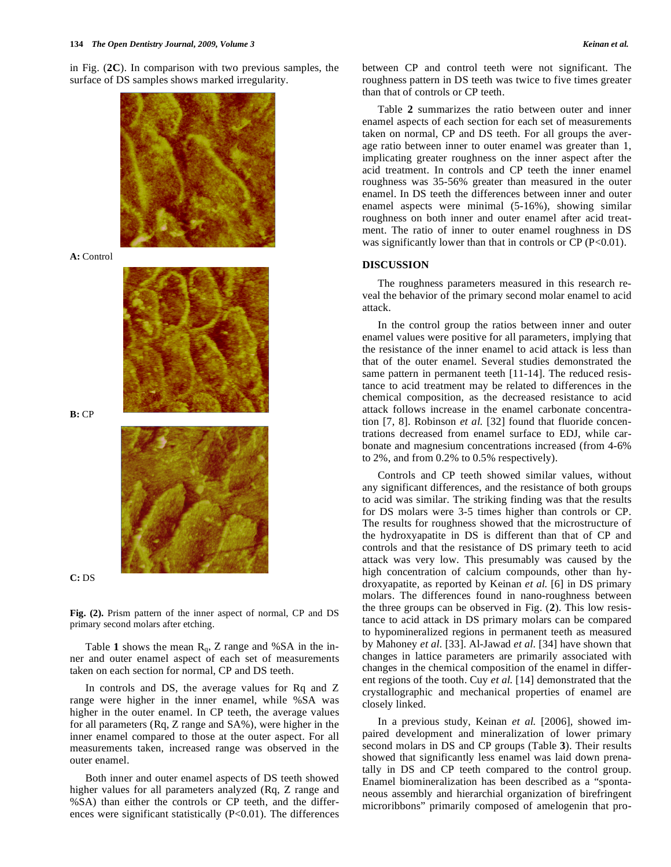in Fig. (**2C**). In comparison with two previous samples, the surface of DS samples shows marked irregularity.



**A:** Control



**B:** CP





**Fig. (2).** Prism pattern of the inner aspect of normal, CP and DS primary second molars after etching.

Table 1 shows the mean  $R_q$ , Z range and %SA in the inner and outer enamel aspect of each set of measurements taken on each section for normal, CP and DS teeth.

 In controls and DS, the average values for Rq and Z range were higher in the inner enamel, while %SA was higher in the outer enamel. In CP teeth, the average values for all parameters (Rq, Z range and SA%), were higher in the inner enamel compared to those at the outer aspect. For all measurements taken, increased range was observed in the outer enamel.

 Both inner and outer enamel aspects of DS teeth showed higher values for all parameters analyzed (Rq, Z range and %SA) than either the controls or CP teeth, and the differences were significant statistically  $(P<0.01)$ . The differences

between CP and control teeth were not significant. The roughness pattern in DS teeth was twice to five times greater than that of controls or CP teeth.

 Table **2** summarizes the ratio between outer and inner enamel aspects of each section for each set of measurements taken on normal, CP and DS teeth. For all groups the average ratio between inner to outer enamel was greater than 1, implicating greater roughness on the inner aspect after the acid treatment. In controls and CP teeth the inner enamel roughness was 35-56% greater than measured in the outer enamel. In DS teeth the differences between inner and outer enamel aspects were minimal (5-16%), showing similar roughness on both inner and outer enamel after acid treatment. The ratio of inner to outer enamel roughness in DS was significantly lower than that in controls or  $CP (P<0.01)$ .

#### **DISCUSSION**

 The roughness parameters measured in this research reveal the behavior of the primary second molar enamel to acid attack.

 In the control group the ratios between inner and outer enamel values were positive for all parameters, implying that the resistance of the inner enamel to acid attack is less than that of the outer enamel. Several studies demonstrated the same pattern in permanent teeth [11-14]. The reduced resistance to acid treatment may be related to differences in the chemical composition, as the decreased resistance to acid attack follows increase in the enamel carbonate concentration [7, 8]. Robinson *et al.* [32] found that fluoride concentrations decreased from enamel surface to EDJ, while carbonate and magnesium concentrations increased (from 4-6% to 2%, and from 0.2% to 0.5% respectively).

 Controls and CP teeth showed similar values, without any significant differences, and the resistance of both groups to acid was similar. The striking finding was that the results for DS molars were 3-5 times higher than controls or CP. The results for roughness showed that the microstructure of the hydroxyapatite in DS is different than that of CP and controls and that the resistance of DS primary teeth to acid attack was very low. This presumably was caused by the high concentration of calcium compounds, other than hydroxyapatite, as reported by Keinan *et al.* [6] in DS primary molars. The differences found in nano-roughness between the three groups can be observed in Fig. (**2**). This low resistance to acid attack in DS primary molars can be compared to hypomineralized regions in permanent teeth as measured by Mahoney *et al.* [33]. Al-Jawad *et al.* [34] have shown that changes in lattice parameters are primarily associated with changes in the chemical composition of the enamel in different regions of the tooth. Cuy *et al.* [14] demonstrated that the crystallographic and mechanical properties of enamel are closely linked.

 In a previous study, Keinan *et al.* [2006], showed impaired development and mineralization of lower primary second molars in DS and CP groups (Table **3**). Their results showed that significantly less enamel was laid down prenatally in DS and CP teeth compared to the control group. Enamel biomineralization has been described as a "spontaneous assembly and hierarchial organization of birefringent microribbons" primarily composed of amelogenin that pro-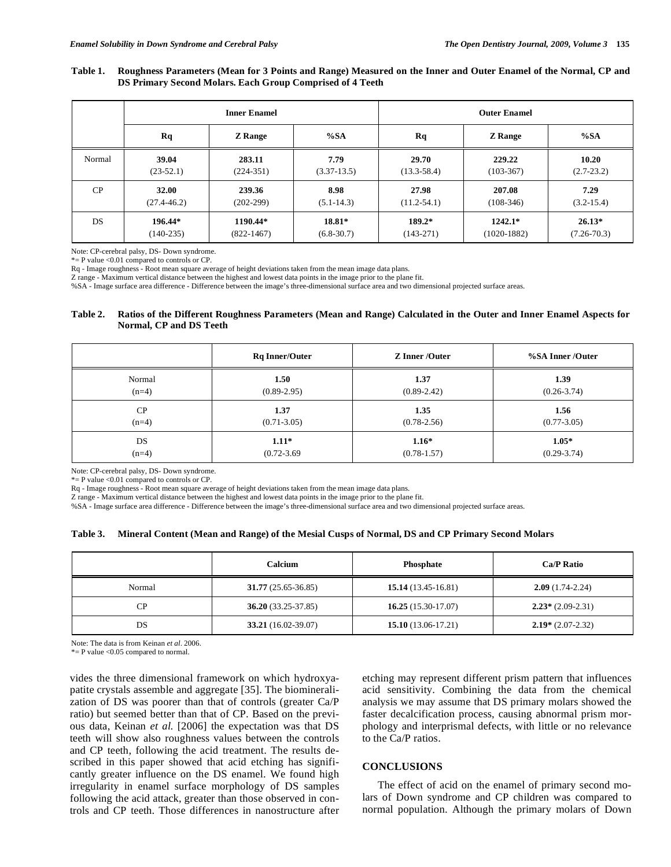#### **Table 1. Roughness Parameters (Mean for 3 Points and Range) Measured on the Inner and Outer Enamel of the Normal, CP and DS Primary Second Molars. Each Group Comprised of 4 Teeth**

|        | <b>Inner Enamel</b> |                |                | <b>Outer Enamel</b> |                |                 |
|--------|---------------------|----------------|----------------|---------------------|----------------|-----------------|
|        | Rq                  | <b>Z</b> Range | %SA            | Rq                  | <b>Z</b> Range | %SA             |
| Normal | 39.04               | 283.11         | 7.79           | 29.70               | 229.22         | 10.20           |
|        | $(23-52.1)$         | $(224-351)$    | $(3.37-13.5)$  | $(13.3 - 58.4)$     | $(103-367)$    | $(2.7 - 23.2)$  |
| CP     | 32.00               | 239.36         | 8.98           | 27.98               | 207.08         | 7.29            |
|        | $(27.4 - 46.2)$     | $(202-299)$    | $(5.1 - 14.3)$ | $(11.2 - 54.1)$     | $(108-346)$    | $(3.2 - 15.4)$  |
| DS     | 196.44*             | 1190.44*       | 18.81*         | 189.2*              | $1242.1*$      | $26.13*$        |
|        | $(140-235)$         | $(822-1467)$   | $(6.8 - 30.7)$ | $(143-271)$         | $(1020-1882)$  | $(7.26 - 70.3)$ |

Note: CP-cerebral palsy, DS- Down syndrome.

\*= P value <0.01 compared to controls or CP.

Rq - Image roughness - Root mean square average of height deviations taken from the mean image data plans.

Z range - Maximum vertical distance between the highest and lowest data points in the image prior to the plane fit.

%SA - Image surface area difference - Difference between the image's three-dimensional surface area and two dimensional projected surface areas.

## **Table 2. Ratios of the Different Roughness Parameters (Mean and Range) Calculated in the Outer and Inner Enamel Aspects for Normal, CP and DS Teeth**

|         | <b>Rq Inner/Outer</b> | <b>Z</b> Inner /Outer | %SA Inner /Outer |
|---------|-----------------------|-----------------------|------------------|
| Normal  | 1.50                  | 1.37                  | 1.39             |
| $(n=4)$ | $(0.89 - 2.95)$       | $(0.89 - 2.42)$       | $(0.26 - 3.74)$  |
| CP      | 1.37                  | 1.35                  | 1.56             |
| $(n=4)$ | $(0.71 - 3.05)$       | $(0.78 - 2.56)$       | $(0.77 - 3.05)$  |
| DS      | $1.11*$               | $1.16*$               | $1.05*$          |
| $(n=4)$ | $(0.72 - 3.69)$       | $(0.78 - 1.57)$       | $(0.29 - 3.74)$  |

Note: CP-cerebral palsy, DS- Down syndrome.

\*= P value <0.01 compared to controls or CP.

Rq - Image roughness - Root mean square average of height deviations taken from the mean image data plans.

Z range - Maximum vertical distance between the highest and lowest data points in the image prior to the plane fit.

%SA - Image surface area difference - Difference between the image's three-dimensional surface area and two dimensional projected surface areas.

#### **Table 3. Mineral Content (Mean and Range) of the Mesial Cusps of Normal, DS and CP Primary Second Molars**

|           | Calcium              | <b>Phosphate</b>      | Ca/P Ratio         |
|-----------|----------------------|-----------------------|--------------------|
| Normal    | $31.77(25.65-36.85)$ | $15.14(13.45-16.81)$  | $2.09(1.74-2.24)$  |
| <b>CP</b> | $36.20(33.25-37.85)$ | 16.25 $(15.30-17.07)$ | $2.23*(2.09-2.31)$ |
| DS        | 33.21 (16.02-39.07)  | 15.10 $(13.06-17.21)$ | $2.19*(2.07-2.32)$ |

Note: The data is from Keinan *et al*. 2006.

 $* = P$  value <0.05 compared to normal.

vides the three dimensional framework on which hydroxyapatite crystals assemble and aggregate [35]. The biomineralization of DS was poorer than that of controls (greater Ca/P ratio) but seemed better than that of CP. Based on the previous data, Keinan *et al.* [2006] the expectation was that DS teeth will show also roughness values between the controls and CP teeth, following the acid treatment. The results described in this paper showed that acid etching has significantly greater influence on the DS enamel. We found high irregularity in enamel surface morphology of DS samples following the acid attack, greater than those observed in controls and CP teeth. Those differences in nanostructure after etching may represent different prism pattern that influences acid sensitivity. Combining the data from the chemical analysis we may assume that DS primary molars showed the faster decalcification process, causing abnormal prism morphology and interprismal defects, with little or no relevance to the Ca/P ratios.

#### **CONCLUSIONS**

 The effect of acid on the enamel of primary second molars of Down syndrome and CP children was compared to normal population. Although the primary molars of Down